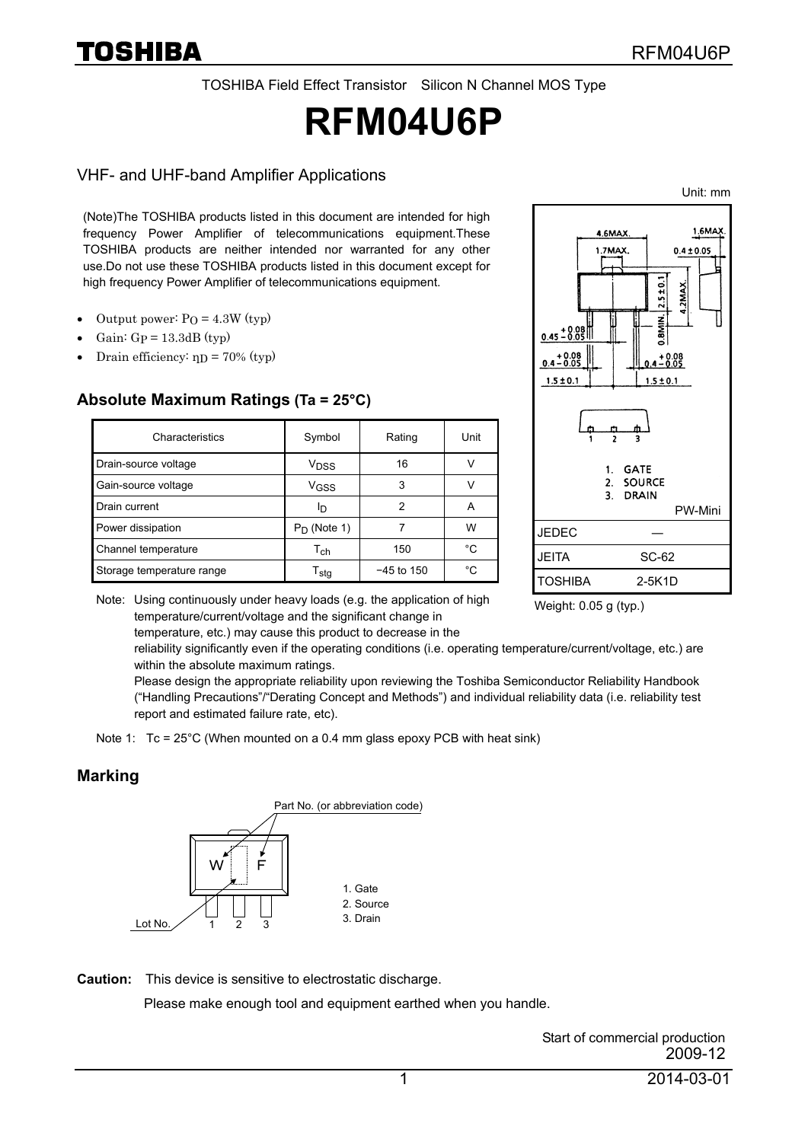TOSHIBA Field Effect Transistor Silicon N Channel MOS Type

# **RFM04U6P**

#### VHF- and UHF-band Amplifier Applications

Unit: mm

(Note)The TOSHIBA products listed in this document are intended for high frequency Power Amplifier of telecommunications equipment.These TOSHIBA products are neither intended nor warranted for any other use.Do not use these TOSHIBA products listed in this document except for high frequency Power Amplifier of telecommunications equipment.

- Output power:  $PQ = 4.3W$  (typ)
- Gain:  $Gp = 13.3dB$  (typ)
- Drain efficiency:  $np = 70\%$  (typ)

#### **Absolute Maximum Ratings (Ta = 25°C)**

| Characteristics           | Symbol                      | Rating       | Unit |
|---------------------------|-----------------------------|--------------|------|
| Drain-source voltage      | V <sub>DSS</sub>            | 16           |      |
| Gain-source voltage       | VGSS                        | 3            |      |
| Drain current             | םו                          | 2            |      |
| Power dissipation         | $P_D$ (Note 1)              |              | w    |
| Channel temperature       | Tch                         | 150          | °C   |
| Storage temperature range | $\mathsf{T}_{\mathsf{stq}}$ | $-45$ to 150 | °C   |



Note: Using continuously under heavy loads (e.g. the application of high temperature/current/voltage and the significant change in

temperature, etc.) may cause this product to decrease in the

Weight: 0.05 g (typ.)

reliability significantly even if the operating conditions (i.e. operating temperature/current/voltage, etc.) are within the absolute maximum ratings.

Please design the appropriate reliability upon reviewing the Toshiba Semiconductor Reliability Handbook ("Handling Precautions"/"Derating Concept and Methods") and individual reliability data (i.e. reliability test report and estimated failure rate, etc).

Note 1:  $Tc = 25^{\circ}$ C (When mounted on a 0.4 mm glass epoxy PCB with heat sink)

#### **Marking**



**Caution:** This device is sensitive to electrostatic discharge.

Please make enough tool and equipment earthed when you handle.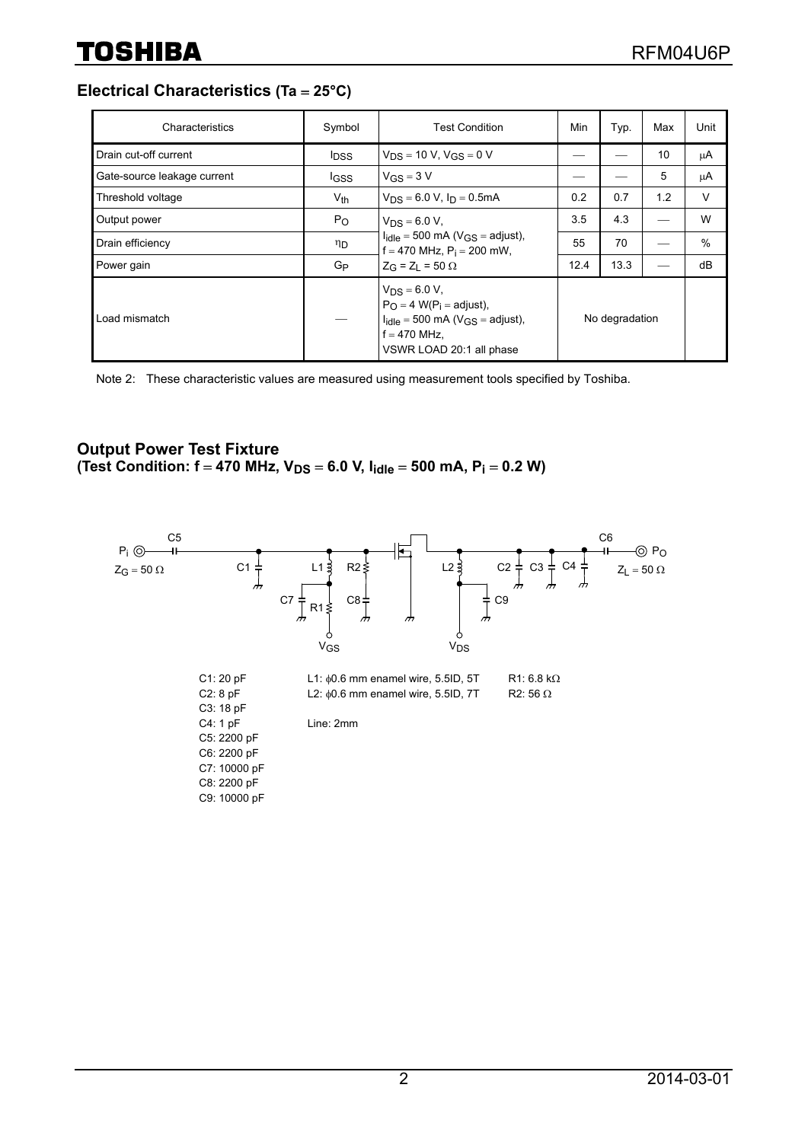**Electrical Characteristics (Ta** = **25°C)**

| Characteristics             | Symbol                  | <b>Test Condition</b>                                                                                                                                         | Min            | Typ. | Max | Unit |
|-----------------------------|-------------------------|---------------------------------------------------------------------------------------------------------------------------------------------------------------|----------------|------|-----|------|
| Drain cut-off current       | <b>I</b> <sub>DSS</sub> | $V_{DS}$ = 10 V, $V_{GS}$ = 0 V                                                                                                                               |                |      | 10  | μA   |
| Gate-source leakage current | <b>IGSS</b>             | $V_{GS} = 3 V$                                                                                                                                                |                |      | 5   | μA   |
| Threshold voltage           | $V_{th}$                | $V_{DS} = 6.0 V$ , $I_D = 0.5 mA$                                                                                                                             | 0.2            | 0.7  | 1.2 | V    |
| Output power                | $P_{\rm O}$             | $V_{DS} = 6.0 V,$<br>$I_{idle} = 500$ mA ( $V_{GS} =$ adjust),<br>$f = 470$ MHz, $P_i = 200$ mW,                                                              | 3.5            | 4.3  |     | W    |
| Drain efficiency            | ηD                      |                                                                                                                                                               | 55             | 70   |     | $\%$ |
| Power gain                  | G <sub>P</sub>          | $Z_G = Z_1 = 50 \Omega$                                                                                                                                       | 12.4           | 13.3 |     | dB   |
| Load mismatch               |                         | $V_{DS} = 6.0 V$ ,<br>$P_{\Omega} = 4$ W(P <sub>i</sub> = adjust),<br>$I_{idle} = 500$ mA ( $V_{GS} =$ adjust),<br>$f = 470$ MHz.<br>VSWR LOAD 20:1 all phase | No degradation |      |     |      |

Note 2: These characteristic values are measured using measurement tools specified by Toshiba.

#### **Output Power Test Fixture** (Test Condition:  $f = 470$  MHz,  $V_{DS} = 6.0$  V,  $I_{idle} = 500$  mA,  $P_i = 0.2$  W)

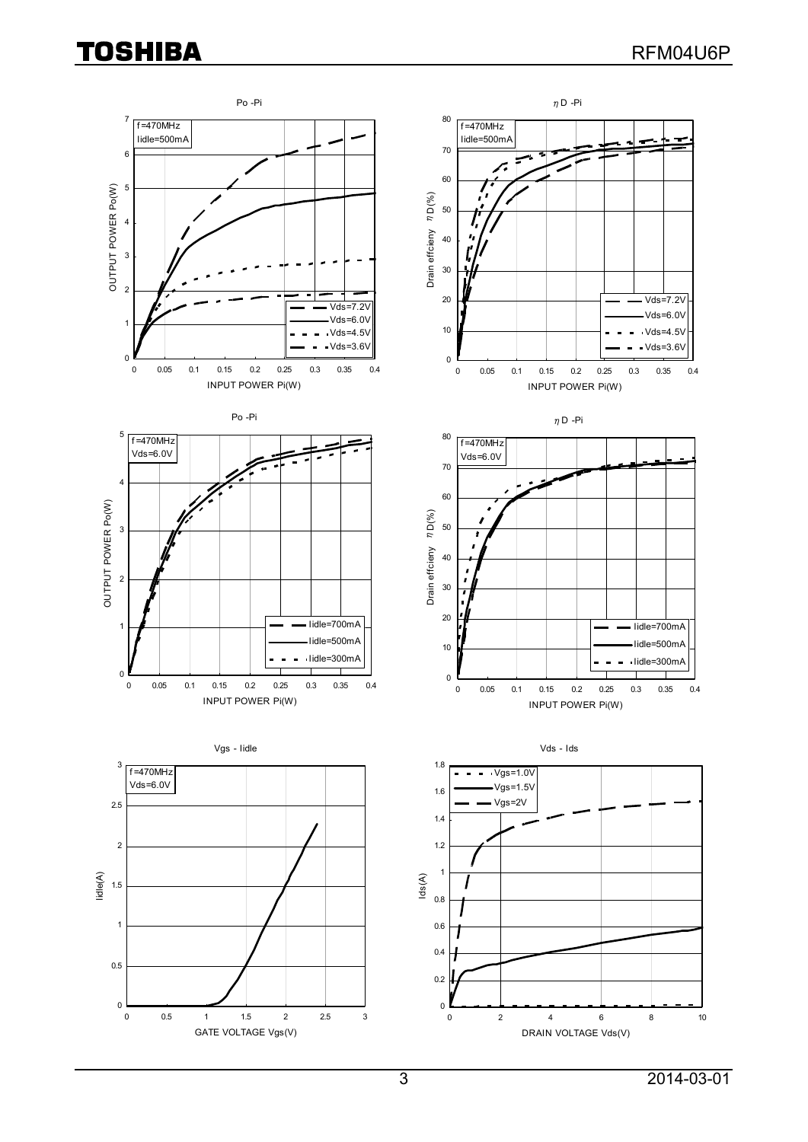## **TOSHIBA**

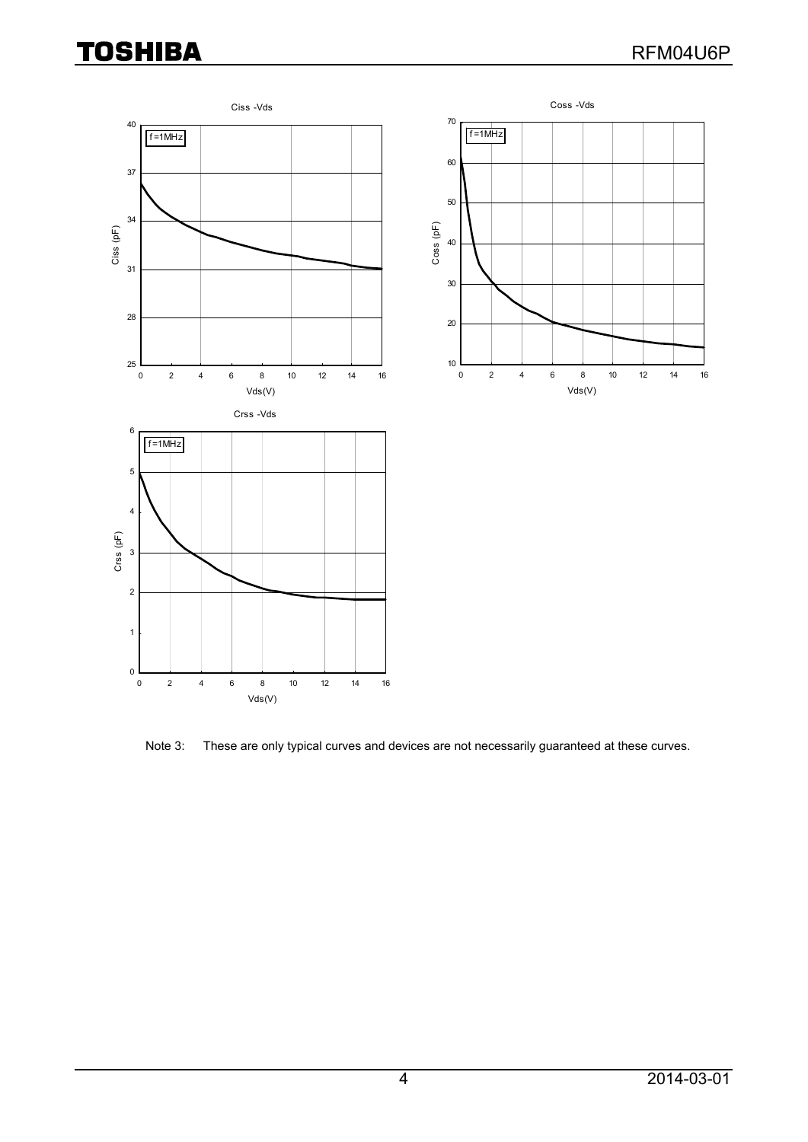## **TOSHIBA**



Note 3: These are only typical curves and devices are not necessarily guaranteed at these curves.